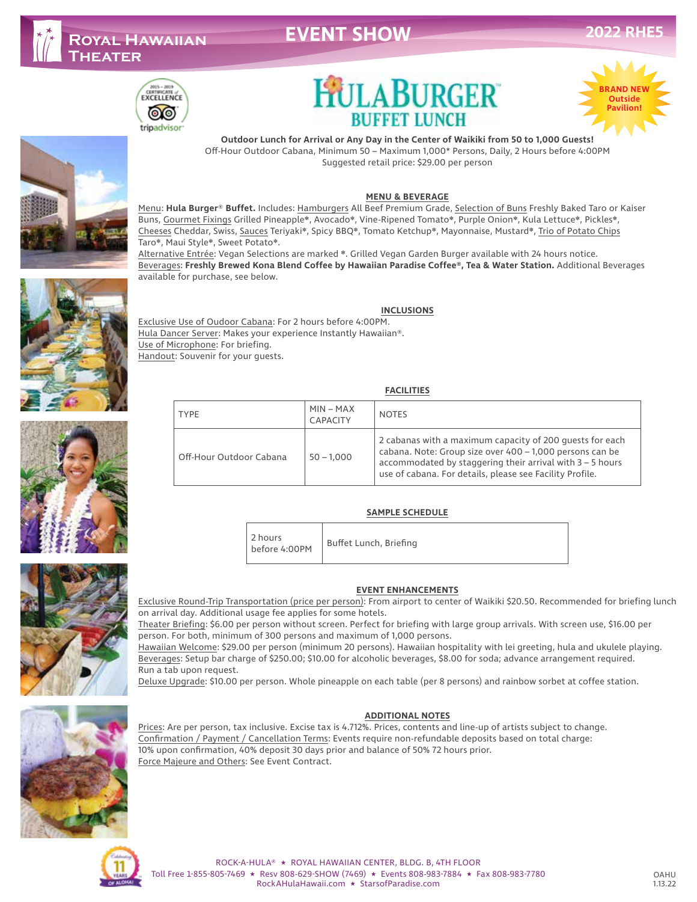# **EVENT SHOW**

# $\begin{array}{c}\n\hline\n\text{2015 - 2019}\n\hline\n\text{CERTIFICATION} & \text{of } \\
\hline\n\text{EXECELLENCE} & \text{CPE} & \text{CPE} \\
\hline\n\end{array}$ ෧෧ tripadvisor





**2022 RHE5**

# **Outdoor Lunch for Arrival or Any Day in the Center of Waikiki from 50 to 1,000 Guests!**

**HULABURGER** 

**BUFFET LUNCH** 

Off-Hour Outdoor Cabana, Minimum 50 – Maximum 1,000\* Persons, Daily, 2 Hours before 4:00PM Suggested retail price: \$29.00 per person

### **MENU & BEVERAGE**

Menu: **Hula Burger**® **Buffet.** Includes: Hamburgers All Beef Premium Grade, Selection of Buns Freshly Baked Taro or Kaiser Buns, Gourmet Fixings Grilled Pineapple❋, Avocado❋, Vine-Ripened Tomato❋, Purple Onion❋, Kula Lettuce❋, Pickles❋, Cheeses Cheddar, Swiss, Sauces Teriyaki❋, Spicy BBQ❋, Tomato Ketchup❋, Mayonnaise, Mustard❋, Trio of Potato Chips Taro❋, Maui Style❋, Sweet Potato❋.

Alternative Entrée: Vegan Selections are marked ❋. Grilled Vegan Garden Burger available with 24 hours notice. Beverages: **Freshly Brewed Kona Blend Coffee by Hawaiian Paradise Coffee®, Tea & Water Station.** Additional Beverages available for purchase, see below.

## **INCLUSIONS**





Exclusive Use of Oudoor Cabana: For 2 hours before 4:00PM. Hula Dancer Server: Makes your experience Instantly Hawaiian®. Use of Microphone: For briefing. Handout: Souvenir for your guests.

#### **FACILITIES**

| <b>TYPE</b>             | $MIN - MAX$<br><b>CAPACITY</b> | <b>NOTES</b>                                                                                                                                                                                                                                    |
|-------------------------|--------------------------------|-------------------------------------------------------------------------------------------------------------------------------------------------------------------------------------------------------------------------------------------------|
| Off-Hour Outdoor Cabana | $50 - 1,000$                   | 2 cabanas with a maximum capacity of 200 quests for each<br>cabana. Note: Group size over 400 - 1,000 persons can be<br>accommodated by staggering their arrival with $3 - 5$ hours<br>use of cabana. For details, please see Facility Profile. |

## **SAMPLE SCHEDULE**

| 2 hours<br>before 4:00PM | Buffet Lunch, Briefing |
|--------------------------|------------------------|
|--------------------------|------------------------|



**EVENT ENHANCEMENTS**

Exclusive Round-Trip Transportation (price per person): From airport to center of Waikiki \$20.50. Recommended for briefing lunch on arrival day. Additional usage fee applies for some hotels.

Theater Briefing: \$6.00 per person without screen. Perfect for briefing with large group arrivals. With screen use, \$16.00 per person. For both, minimum of 300 persons and maximum of 1,000 persons.

Hawaiian Welcome: \$29.00 per person (minimum 20 persons). Hawaiian hospitality with lei greeting, hula and ukulele playing. Beverages: Setup bar charge of \$250.00; \$10.00 for alcoholic beverages, \$8.00 for soda; advance arrangement required. Run a tab upon request.

Deluxe Upgrade: \$10.00 per person. Whole pineapple on each table (per 8 persons) and rainbow sorbet at coffee station.

## **ADDITIONAL NOTES**

Prices: Are per person, tax inclusive. Excise tax is 4.712%. Prices, contents and line-up of artists subject to change. Confirmation / Payment / Cancellation Terms: Events require non-refundable deposits based on total charge: 10% upon confirmation, 40% deposit 30 days prior and balance of 50% 72 hours prior. Force Majeure and Others: See Event Contract.